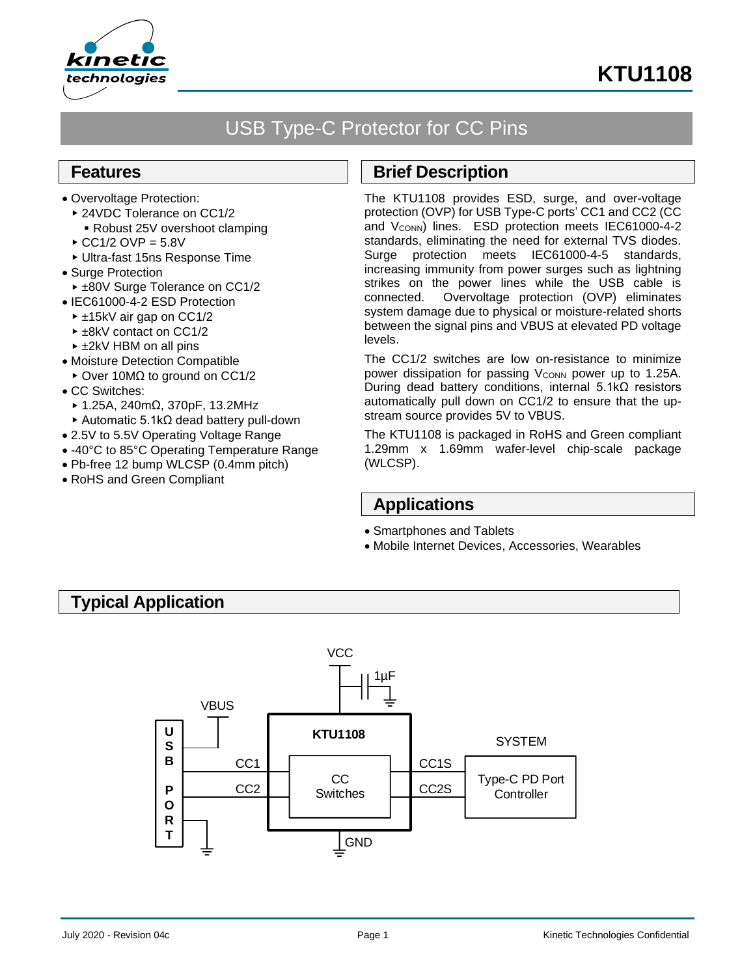



# USB Type-C Protector for CC Pins

### **Features**

- Overvoltage Protection:
	- ▶ 24VDC Tolerance on CC1/2 ■ Robust 25V overshoot clamping
	- $\triangle$  CC1/2 OVP = 5.8V
	- Ultra-fast 15ns Response Time
- Surge Protection
- ▶ ±80V Surge Tolerance on CC1/2
- IEC61000-4-2 ESD Protection
- ±15kV air gap on CC1/2
- ► ±8kV contact on CC1/2
- ► ±2kV HBM on all pins
- Moisture Detection Compatible
- Over 10MΩ to ground on CC1/2
- CC Switches:
	- 1.25A, 240mΩ, 370pF, 13.2MHz
	- Automatic 5.1kΩ dead battery pull-down
- 2.5V to 5.5V Operating Voltage Range
- -40°C to 85°C Operating Temperature Range
- Pb-free 12 bump WLCSP (0.4mm pitch)
- RoHS and Green Compliant

### **Brief Description**

The KTU1108 provides ESD, surge, and over-voltage protection (OVP) for USB Type-C ports' CC1 and CC2 (CC and V<sub>CONN</sub>) lines. ESD protection meets IEC61000-4-2 standards, eliminating the need for external TVS diodes. Surge protection meets IEC61000-4-5 standards, increasing immunity from power surges such as lightning strikes on the power lines while the USB cable is connected. Overvoltage protection (OVP) eliminates system damage due to physical or moisture-related shorts between the signal pins and VBUS at elevated PD voltage levels.

The CC1/2 switches are low on-resistance to minimize power dissipation for passing V<sub>CONN</sub> power up to 1.25A. During dead battery conditions, internal 5.1kΩ resistors automatically pull down on CC1/2 to ensure that the upstream source provides 5V to VBUS.

The KTU1108 is packaged in RoHS and Green compliant 1.29mm x 1.69mm wafer-level chip-scale package (WLCSP).

# **Applications**

- Smartphones and Tablets
- Mobile Internet Devices, Accessories, Wearables

## **Typical Application**

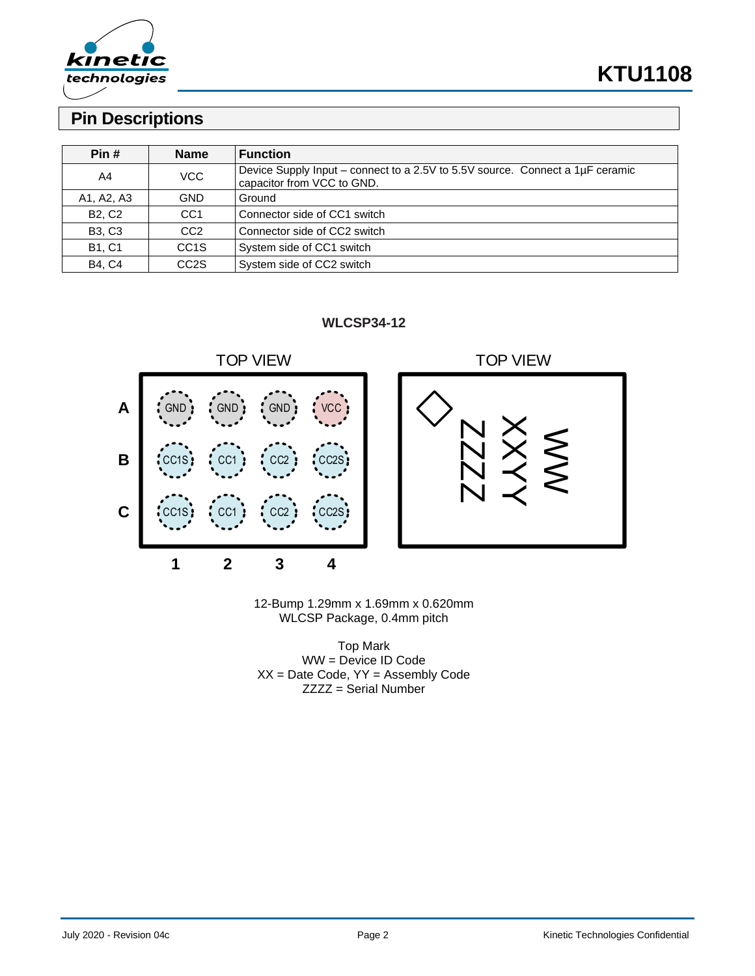

## **Pin Descriptions**

| Pin #         | <b>Name</b>       | <b>Function</b>                                                                                             |
|---------------|-------------------|-------------------------------------------------------------------------------------------------------------|
|               |                   |                                                                                                             |
| A4            | VCC               | Device Supply Input - connect to a 2.5V to 5.5V source. Connect a 1µF ceramic<br>capacitor from VCC to GND. |
| A1, A2, A3    | <b>GND</b>        | Ground                                                                                                      |
| <b>B2, C2</b> | CC <sub>1</sub>   | Connector side of CC1 switch                                                                                |
| <b>B3, C3</b> | CC <sub>2</sub>   | Connector side of CC2 switch                                                                                |
| <b>B1, C1</b> | CC <sub>1</sub> S | System side of CC1 switch                                                                                   |
| <b>B4, C4</b> | CC <sub>2</sub> S | System side of CC2 switch                                                                                   |





12-Bump 1.29mm x 1.69mm x 0.620mm WLCSP Package, 0.4mm pitch

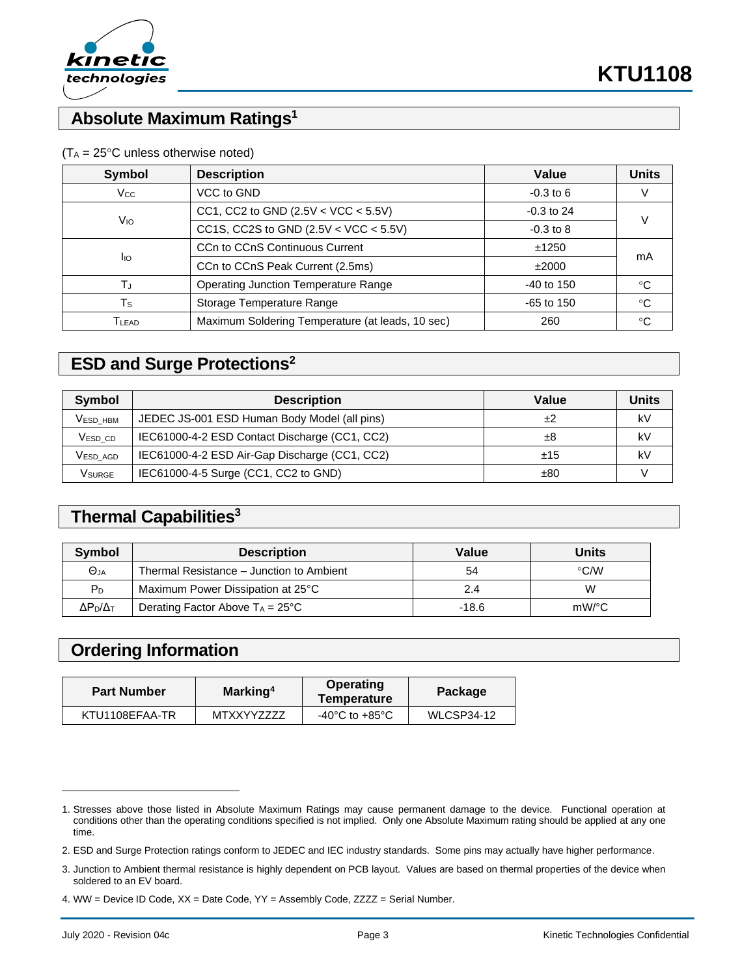

# **Absolute Maximum Ratings<sup>1</sup>**

| <b>Symbol</b>     | <b>Description</b>                               | Value         | <b>Units</b> |  |
|-------------------|--------------------------------------------------|---------------|--------------|--|
| $V_{\rm CC}$      | VCC to GND                                       | $-0.3$ to 6   |              |  |
|                   | CC1, CC2 to GND $(2.5V < VCC < 5.5V)$            | $-0.3$ to 24  |              |  |
| Vю                | CC1S, CC2S to GND $(2.5V < VCC < 5.5V)$          | $-0.3$ to $8$ |              |  |
|                   | CCn to CCnS Continuous Current                   | ±1250         | mA           |  |
| <b>I</b> IO       | CCn to CCnS Peak Current (2.5ms)                 | ±2000         |              |  |
| T,                | <b>Operating Junction Temperature Range</b>      | $-40$ to 150  | ℃            |  |
| Ts                | Storage Temperature Range                        | $-65$ to 150  | $^{\circ}$ C |  |
| T <sub>LEAD</sub> | Maximum Soldering Temperature (at leads, 10 sec) | 260           | °C           |  |

### $(T_A = 25^{\circ}C$  unless otherwise noted)

# **ESD and Surge Protections<sup>2</sup>**

| Symbol              | <b>Description</b>                            | Value | Units |
|---------------------|-----------------------------------------------|-------|-------|
| <b>VESD HBM</b>     | JEDEC JS-001 ESD Human Body Model (all pins)  | +2    | kV    |
| V <sub>ESD</sub> CD | IEC61000-4-2 ESD Contact Discharge (CC1, CC2) | ±8    | k٧    |
| Vesd agd            | IEC61000-4-2 ESD Air-Gap Discharge (CC1, CC2) | ±15   | kV    |
| Vsurge              | IEC61000-4-5 Surge (CC1, CC2 to GND)          | ±80   |       |

### **Thermal Capabilities<sup>3</sup>**

| Symbol                | <b>Description</b>                         | Value   | <b>Units</b>  |
|-----------------------|--------------------------------------------|---------|---------------|
| Θja                   | Thermal Resistance – Junction to Ambient   | 54      | $\degree$ C/W |
| P <sub>D</sub>        | Maximum Power Dissipation at 25°C          | 2.4     | W             |
| $\Delta P_D/\Delta_T$ | Derating Factor Above $T_A = 25^{\circ}$ C | $-18.6$ | $mW$ /°C      |

## **Ordering Information**

| <b>Part Number</b> | Marking <sup>4</sup> | Operating<br>Temperature           | Package    |  |
|--------------------|----------------------|------------------------------------|------------|--|
| KTU1108EFAA-TR     | MTXXYY7777           | $-40^{\circ}$ C to $+85^{\circ}$ C | WLCSP34-12 |  |

<sup>1.</sup> Stresses above those listed in Absolute Maximum Ratings may cause permanent damage to the device. Functional operation at conditions other than the operating conditions specified is not implied. Only one Absolute Maximum rating should be applied at any one time.

<sup>2.</sup> ESD and Surge Protection ratings conform to JEDEC and IEC industry standards. Some pins may actually have higher performance.

<sup>3.</sup> Junction to Ambient thermal resistance is highly dependent on PCB layout. Values are based on thermal properties of the device when soldered to an EV board.

<sup>4.</sup> WW = Device ID Code, XX = Date Code, YY = Assembly Code, ZZZZ = Serial Number.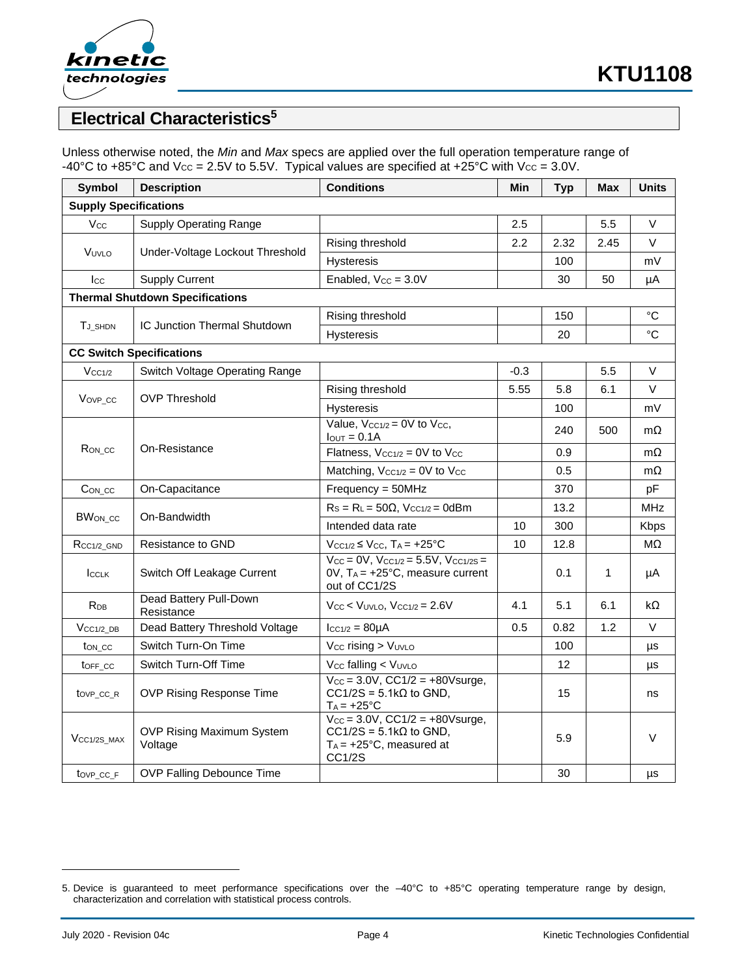

# **Electrical Characteristics<sup>5</sup>**

Unless otherwise noted, the *Min* and *Max* specs are applied over the full operation temperature range of -40°C to +85°C and  $V_{CC} = 2.5V$  to 5.5V. Typical values are specified at +25°C with  $V_{CC} = 3.0V$ .

| <b>Symbol</b>                          | <b>Description</b>                   | <b>Conditions</b>                                                                                                | Min    | <b>Typ</b> | <b>Max</b>   | <b>Units</b> |
|----------------------------------------|--------------------------------------|------------------------------------------------------------------------------------------------------------------|--------|------------|--------------|--------------|
| <b>Supply Specifications</b>           |                                      |                                                                                                                  |        |            |              |              |
| <b>Vcc</b>                             | <b>Supply Operating Range</b>        |                                                                                                                  | 2.5    |            | 5.5          | V            |
| VUVLO                                  |                                      | Rising threshold                                                                                                 | 2.2    | 2.32       | 2.45         | $\vee$       |
|                                        | Under-Voltage Lockout Threshold      | Hysteresis                                                                                                       |        | 100        |              | mV           |
| $_{\rm lcc}$                           | <b>Supply Current</b>                | Enabled, $V_{CC} = 3.0V$                                                                                         |        | 30         | 50           | μA           |
| <b>Thermal Shutdown Specifications</b> |                                      |                                                                                                                  |        |            |              |              |
| T <sub>J_SHDN</sub>                    | IC Junction Thermal Shutdown         | Rising threshold                                                                                                 |        | 150        |              | °C           |
|                                        |                                      | <b>Hysteresis</b>                                                                                                |        | 20         |              | °C           |
|                                        | <b>CC Switch Specifications</b>      |                                                                                                                  |        |            |              |              |
| $V_{CC1/2}$                            | Switch Voltage Operating Range       |                                                                                                                  | $-0.3$ |            | 5.5          | V            |
|                                        |                                      | Rising threshold                                                                                                 | 5.55   | 5.8        | 6.1          | V            |
| Vov <sub>P</sub> cc                    | <b>OVP Threshold</b>                 | <b>Hysteresis</b>                                                                                                |        | 100        |              | mV           |
|                                        |                                      | Value, $V_{CC1/2} = 0V$ to $V_{CC}$ ,<br>$IQUT = 0.1A$                                                           |        | 240        | 500          | $m\Omega$    |
| R <sub>ON_CC</sub>                     | On-Resistance                        | Flatness, $V_{CC1/2} = 0V$ to $V_{CC}$                                                                           |        | 0.9        |              | $m\Omega$    |
|                                        |                                      | Matching, $V_{CC1/2} = 0V$ to $V_{CC}$                                                                           |        | 0.5        |              | $m\Omega$    |
| $Con\_cc$                              | On-Capacitance                       | $Frequency = 50MHz$                                                                                              |        | 370        |              | pF           |
| BWon_cc                                | On-Bandwidth                         | $Rs = RL = 50\Omega$ , $V_{CC1/2} = 0dBm$                                                                        |        | 13.2       |              | MHz          |
|                                        |                                      | Intended data rate                                                                                               | 10     | 300        |              | Kbps         |
| $R_{CC1/2}$ GND                        | Resistance to GND                    | $V_{CC1/2} \leq V_{CC}$ , T <sub>A</sub> = +25°C                                                                 | 10     | 12.8       |              | $M\Omega$    |
| <b>ICCLK</b>                           | Switch Off Leakage Current           | $V_{CC} = 0V$ , $V_{CC1/2} = 5.5V$ , $V_{CC1/2S} =$<br>$OV, T_A = +25°C, measure current$<br>out of CC1/2S       |        | 0.1        | $\mathbf{1}$ | μA           |
| <b>R</b> <sub>DB</sub>                 | Dead Battery Pull-Down<br>Resistance | $V_{CC}$ < $V_{UVLO}$ , $V_{CC1/2}$ = 2.6V                                                                       | 4.1    | 5.1        | 6.1          | kΩ           |
| $V_{CC1/2}$ DB                         | Dead Battery Threshold Voltage       | $lcc_{1/2} = 80 \mu A$                                                                                           | 0.5    | 0.82       | 1.2          | V            |
| ton cc                                 | Switch Turn-On Time                  | Vcc rising > VUVLO                                                                                               |        | 100        |              | μs           |
| toFF_cc                                | Switch Turn-Off Time                 | V <sub>cc</sub> falling < V <sub>UVLO</sub>                                                                      |        | 12         |              | μs           |
| tov <sub>P_CC_R</sub>                  | <b>OVP Rising Response Time</b>      | $V_{CC} = 3.0V$ , $CC1/2 = +80V$ surge,<br>$CC1/2S = 5.1k\Omega$ to GND,<br>$T_A = +25^{\circ}C$                 |        | 15         |              | ns           |
| VCC <sub>1/2S</sub> MAX                | OVP Rising Maximum System<br>Voltage | $V_{CC} = 3.0V$ , $CC1/2 = +80V$ surge,<br>$CC1/2S = 5.1k\Omega$ to GND,<br>$T_A$ = +25°C, measured at<br>CC1/2S |        | 5.9        |              | V            |
| tovp cc F                              | <b>OVP Falling Debounce Time</b>     |                                                                                                                  |        | 30         |              | μs           |

<sup>5.</sup> Device is guaranteed to meet performance specifications over the –40°C to +85°C operating temperature range by design, characterization and correlation with statistical process controls.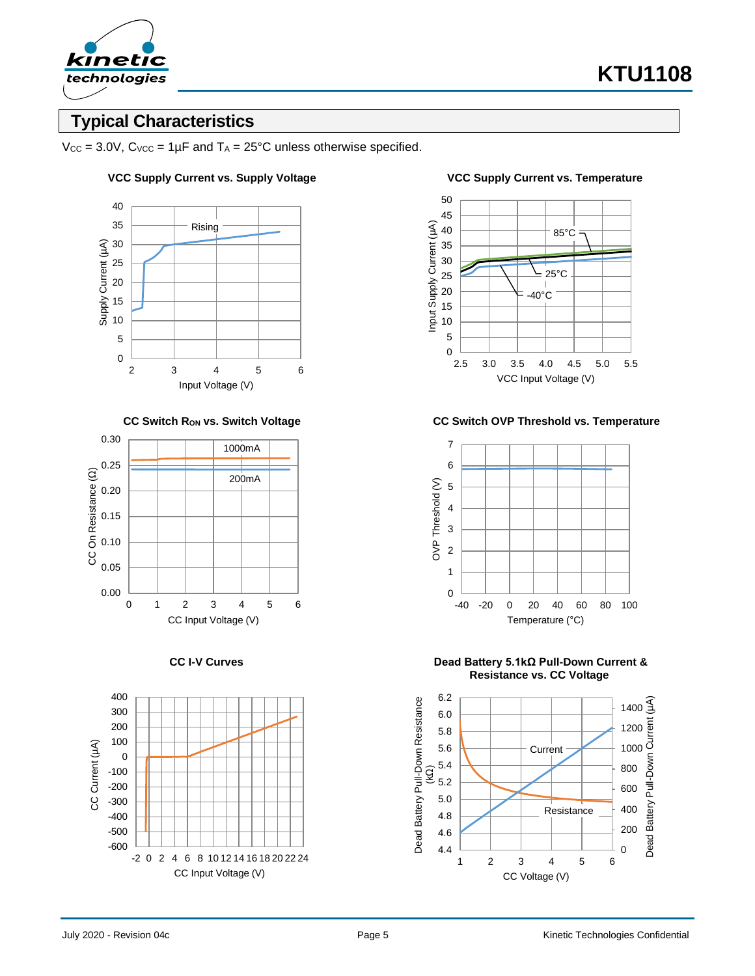

# **Typical Characteristics**

 $V_{CC} = 3.0V$ ,  $C_{VCC} = 1\mu F$  and  $T_A = 25^{\circ}C$  unless otherwise specified.

#### 40 35 Rising Supply Current (µA) 30 Supply Current (µA) 25 20 15 10 5 0 2 3 4 5 6 Input Voltage (V)





### **VCC Supply Current vs. Supply Voltage VCC Supply Current vs. Temperature**



**CC Switch RON vs. Switch Voltage CC Switch OVP Threshold vs. Temperature**



**CC I-V Curves Dead Battery 5.1kΩ Pull-Down Current & Resistance vs. CC Voltage**

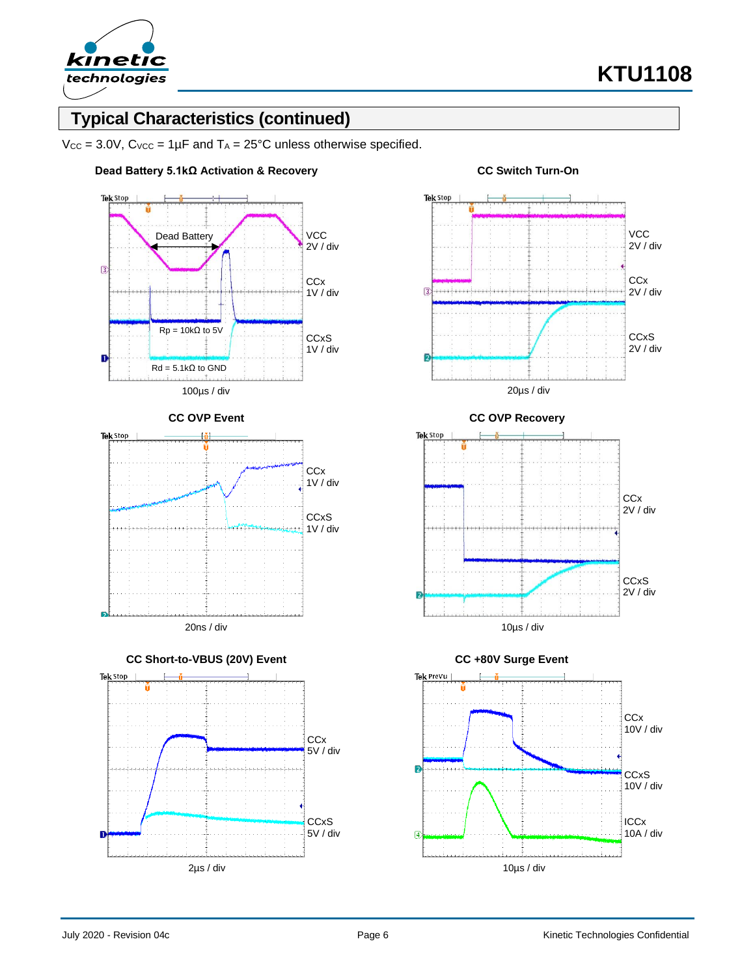

# **Typical Characteristics (continued)**

 $V_{CC} = 3.0V$ ,  $C_{VCC} = 1\mu F$  and  $T_A = 25^{\circ}C$  unless otherwise specified.











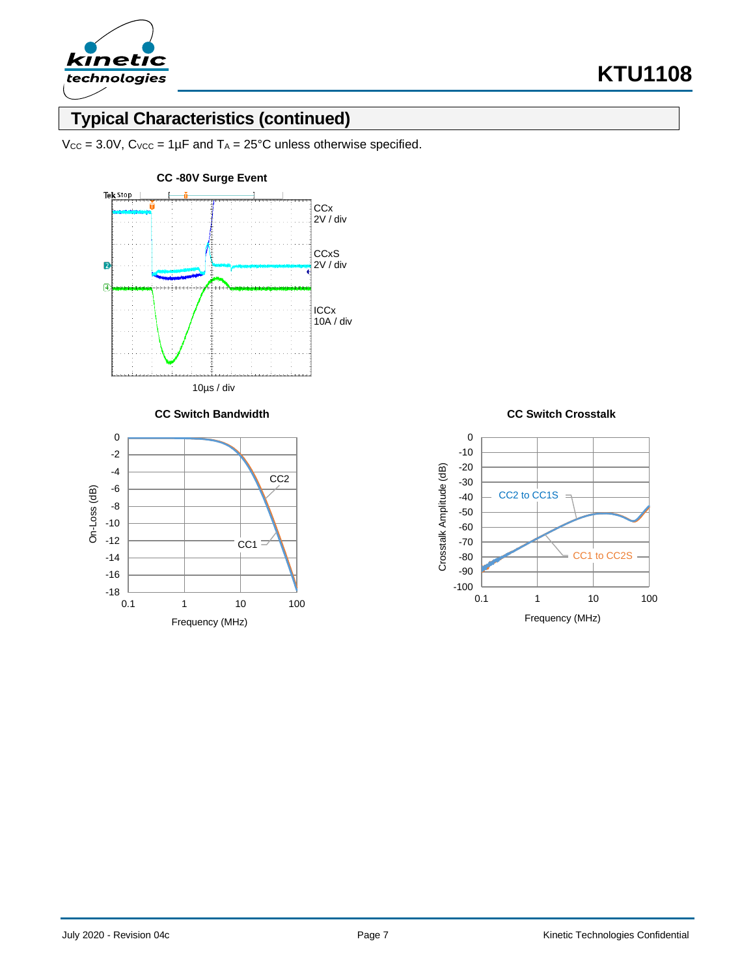

# **Typical Characteristics (continued)**

 $V_{CC}$  = 3.0V,  $C_{VCC}$  = 1µF and  $T_A$  = 25°C unless otherwise specified.



**CC Switch Bandwidth CC Switch Crosstalk**



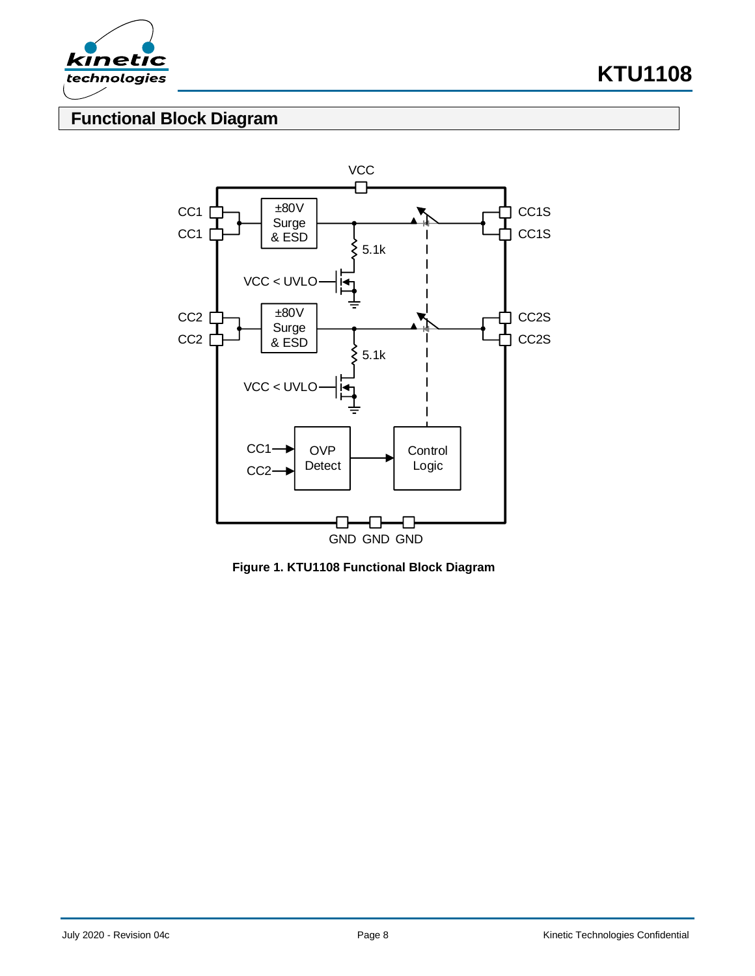

**KTU1108**

# **Functional Block Diagram**



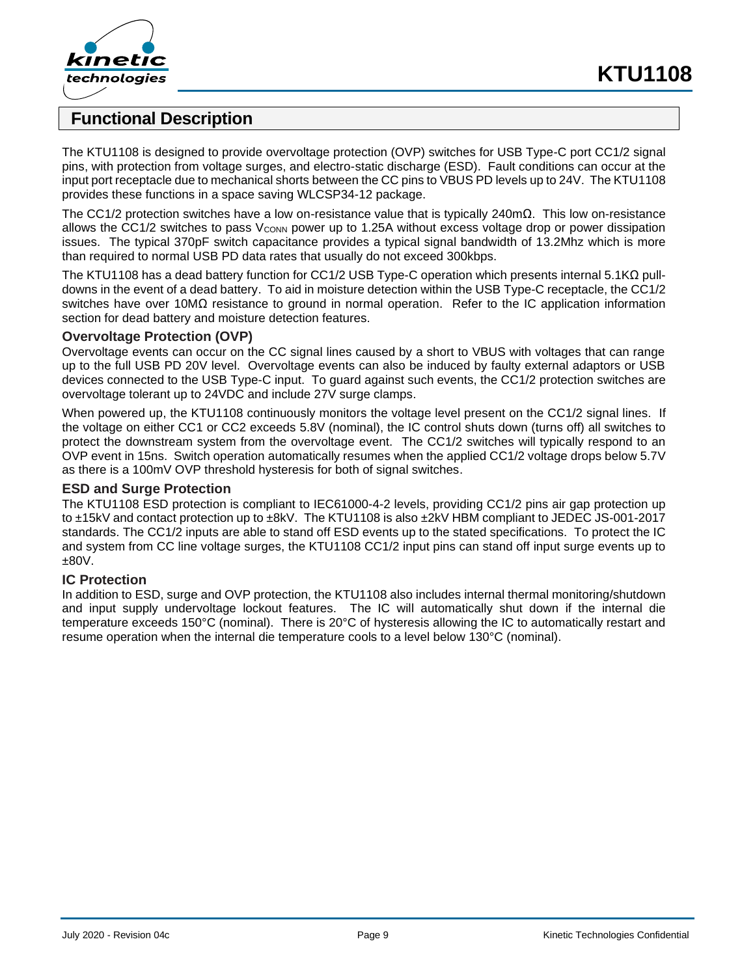



### **Functional Description**

The KTU1108 is designed to provide overvoltage protection (OVP) switches for USB Type-C port CC1/2 signal pins, with protection from voltage surges, and electro-static discharge (ESD). Fault conditions can occur at the input port receptacle due to mechanical shorts between the CC pins to VBUS PD levels up to 24V. The KTU1108 provides these functions in a space saving WLCSP34-12 package.

The CC1/2 protection switches have a low on-resistance value that is typically 240mΩ. This low on-resistance allows the CC1/2 switches to pass V<sub>CONN</sub> power up to 1.25A without excess voltage drop or power dissipation issues. The typical 370pF switch capacitance provides a typical signal bandwidth of 13.2Mhz which is more than required to normal USB PD data rates that usually do not exceed 300kbps.

The KTU1108 has a dead battery function for CC1/2 USB Type-C operation which presents internal 5.1KΩ pulldowns in the event of a dead battery. To aid in moisture detection within the USB Type-C receptacle, the CC1/2 switches have over 10MΩ resistance to ground in normal operation. Refer to the IC application information section for dead battery and moisture detection features.

### **Overvoltage Protection (OVP)**

Overvoltage events can occur on the CC signal lines caused by a short to VBUS with voltages that can range up to the full USB PD 20V level. Overvoltage events can also be induced by faulty external adaptors or USB devices connected to the USB Type-C input. To guard against such events, the CC1/2 protection switches are overvoltage tolerant up to 24VDC and include 27V surge clamps.

When powered up, the KTU1108 continuously monitors the voltage level present on the CC1/2 signal lines. If the voltage on either CC1 or CC2 exceeds 5.8V (nominal), the IC control shuts down (turns off) all switches to protect the downstream system from the overvoltage event. The CC1/2 switches will typically respond to an OVP event in 15ns. Switch operation automatically resumes when the applied CC1/2 voltage drops below 5.7V as there is a 100mV OVP threshold hysteresis for both of signal switches.

#### **ESD and Surge Protection**

The KTU1108 ESD protection is compliant to IEC61000-4-2 levels, providing CC1/2 pins air gap protection up to ±15kV and contact protection up to ±8kV. The KTU1108 is also ±2kV HBM compliant to JEDEC JS-001-2017 standards. The CC1/2 inputs are able to stand off ESD events up to the stated specifications. To protect the IC and system from CC line voltage surges, the KTU1108 CC1/2 input pins can stand off input surge events up to ±80V.

### **IC Protection**

In addition to ESD, surge and OVP protection, the KTU1108 also includes internal thermal monitoring/shutdown and input supply undervoltage lockout features. The IC will automatically shut down if the internal die temperature exceeds 150°C (nominal). There is 20°C of hysteresis allowing the IC to automatically restart and resume operation when the internal die temperature cools to a level below 130°C (nominal).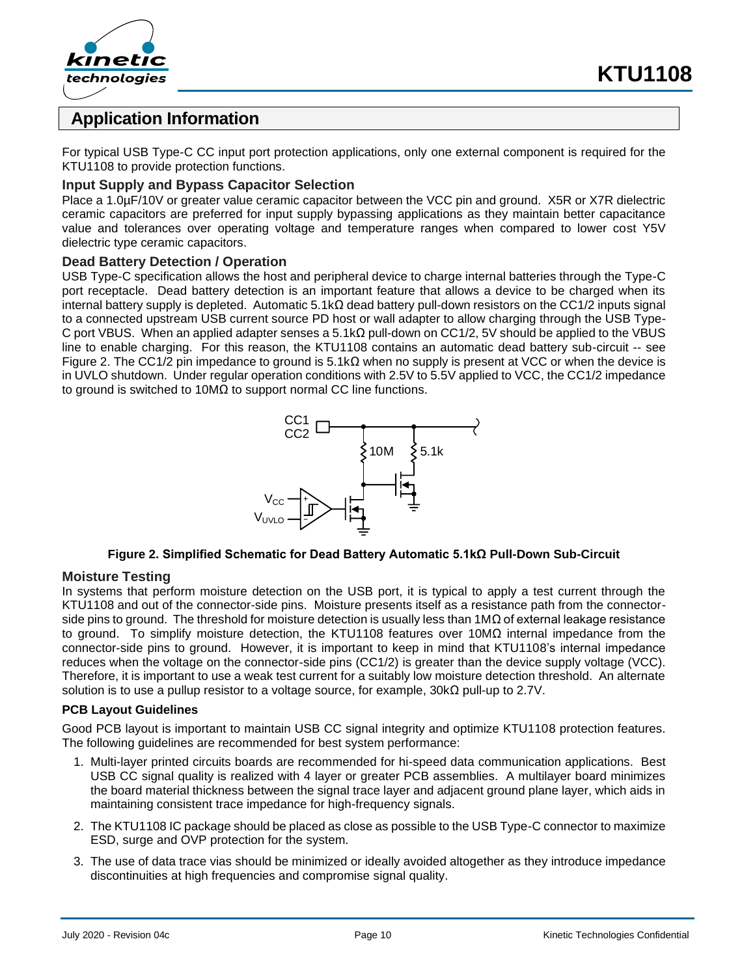



## **Application Information**

For typical USB Type-C CC input port protection applications, only one external component is required for the KTU1108 to provide protection functions.

### **Input Supply and Bypass Capacitor Selection**

Place a 1.0µF/10V or greater value ceramic capacitor between the VCC pin and ground. X5R or X7R dielectric ceramic capacitors are preferred for input supply bypassing applications as they maintain better capacitance value and tolerances over operating voltage and temperature ranges when compared to lower cost Y5V dielectric type ceramic capacitors.

### **Dead Battery Detection / Operation**

USB Type-C specification allows the host and peripheral device to charge internal batteries through the Type-C port receptacle. Dead battery detection is an important feature that allows a device to be charged when its internal battery supply is depleted. Automatic 5.1kΩ dead battery pull-down resistors on the CC1/2 inputs signal to a connected upstream USB current source PD host or wall adapter to allow charging through the USB Type-C port VBUS. When an applied adapter senses a 5.1kΩ pull-down on CC1/2, 5V should be applied to the VBUS line to enable charging. For this reason, the KTU1108 contains an automatic dead battery sub-circuit -- see [Figure 2.](#page-9-0) The CC1/2 pin impedance to ground is  $5.1$ kΩ when no supply is present at VCC or when the device is in UVLO shutdown. Under regular operation conditions with 2.5V to 5.5V applied to VCC, the CC1/2 impedance to ground is switched to 10MΩ to support normal CC line functions.



#### **Figure 2. Simplified Schematic for Dead Battery Automatic 5.1kΩ Pull-Down Sub-Circuit**

### <span id="page-9-0"></span>**Moisture Testing**

In systems that perform moisture detection on the USB port, it is typical to apply a test current through the KTU1108 and out of the connector-side pins. Moisture presents itself as a resistance path from the connectorside pins to ground. The threshold for moisture detection is usually less than 1M $\Omega$  of external leakage resistance to ground. To simplify moisture detection, the KTU1108 features over 10MΩ internal impedance from the connector-side pins to ground. However, it is important to keep in mind that KTU1108's internal impedance reduces when the voltage on the connector-side pins (CC1/2) is greater than the device supply voltage (VCC). Therefore, it is important to use a weak test current for a suitably low moisture detection threshold. An alternate solution is to use a pullup resistor to a voltage source, for example,  $30k\Omega$  pull-up to 2.7V.

#### **PCB Layout Guidelines**

Good PCB layout is important to maintain USB CC signal integrity and optimize KTU1108 protection features. The following guidelines are recommended for best system performance:

- 1. Multi-layer printed circuits boards are recommended for hi-speed data communication applications. Best USB CC signal quality is realized with 4 layer or greater PCB assemblies. A multilayer board minimizes the board material thickness between the signal trace layer and adjacent ground plane layer, which aids in maintaining consistent trace impedance for high-frequency signals.
- 2. The KTU1108 IC package should be placed as close as possible to the USB Type-C connector to maximize ESD, surge and OVP protection for the system.
- 3. The use of data trace vias should be minimized or ideally avoided altogether as they introduce impedance discontinuities at high frequencies and compromise signal quality.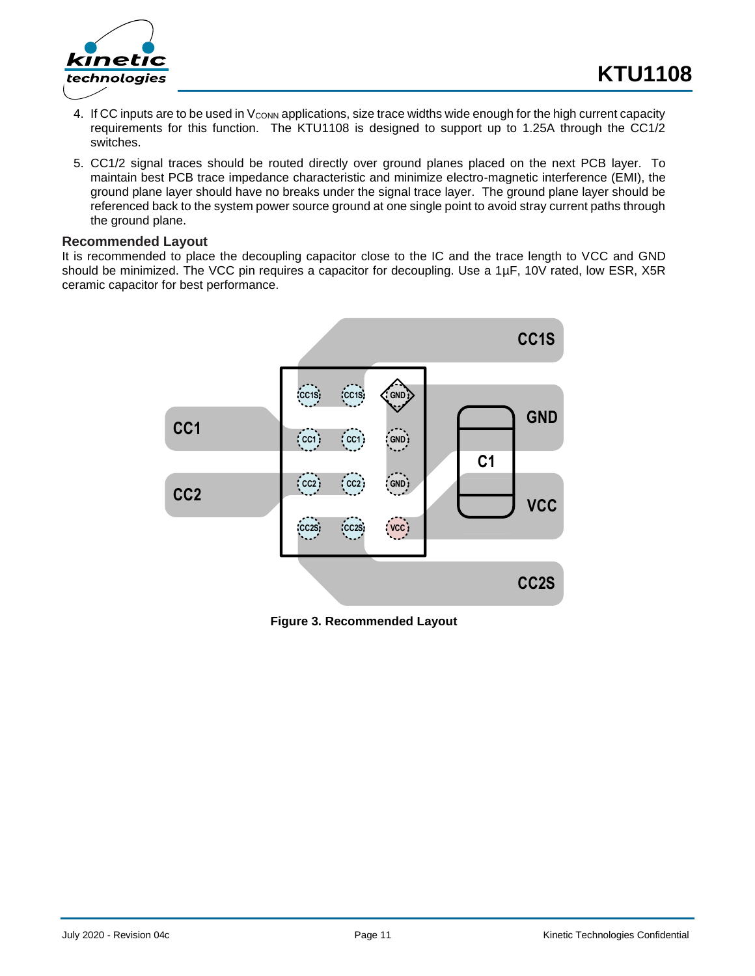



- 4. If CC inputs are to be used in V<sub>CONN</sub> applications, size trace widths wide enough for the high current capacity requirements for this function. The KTU1108 is designed to support up to 1.25A through the CC1/2 switches.
- 5. CC1/2 signal traces should be routed directly over ground planes placed on the next PCB layer. To maintain best PCB trace impedance characteristic and minimize electro-magnetic interference (EMI), the ground plane layer should have no breaks under the signal trace layer. The ground plane layer should be referenced back to the system power source ground at one single point to avoid stray current paths through the ground plane.

#### **Recommended Layout**

It is recommended to place the decoupling capacitor close to the IC and the trace length to VCC and GND should be minimized. The VCC pin requires a capacitor for decoupling. Use a 1µF, 10V rated, low ESR, X5R ceramic capacitor for best performance.



**Figure 3. Recommended Layout**